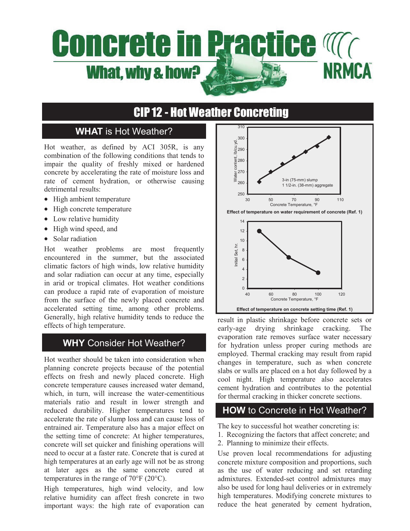# **Concrete in Practice Magnetic NRMCA** What, why & how?

## CIP 12 - Hot Weather Concreting

## **WHAT** is Hot Weather?

Hot weather, as defined by ACI 305R, is any combination of the following conditions that tends to impair the quality of freshly mixed or hardened concrete by accelerating the rate of moisture loss and rate of cement hydration, or otherwise causing detrimental results:

- High ambient temperature
- High concrete temperature
- Low relative humidity
- High wind speed, and
- Solar radiation

Hot weather problems are most frequently encountered in the summer, but the associated climatic factors of high winds, low relative humidity and solar radiation can occur at any time, especially in arid or tropical climates. Hot weather conditions can produce a rapid rate of evaporation of moisture from the surface of the newly placed concrete and accelerated setting time, among other problems. Generally, high relative humidity tends to reduce the effects of high temperature.

### **WHY** Consider Hot Weather?

Hot weather should be taken into consideration when planning concrete projects because of the potential effects on fresh and newly placed concrete. High concrete temperature causes increased water demand, which, in turn, will increase the water-cementitious materials ratio and result in lower strength and reduced durability. Higher temperatures tend to accelerate the rate of slump loss and can cause loss of entrained air. Temperature also has a major effect on the setting time of concrete: At higher temperatures, concrete will set quicker and finishing operations will need to occur at a faster rate. Concrete that is cured at high temperatures at an early age will not be as strong at later ages as the same concrete cured at temperatures in the range of 70°F (20°C).

High temperatures, high wind velocity, and low relative humidity can affect fresh concrete in two important ways: the high rate of evaporation can



result in plastic shrinkage before concrete sets or early-age drying shrinkage cracking. The evaporation rate removes surface water necessary for hydration unless proper curing methods are employed. Thermal cracking may result from rapid changes in temperature, such as when concrete slabs or walls are placed on a hot day followed by a cool night. High temperature also accelerates cement hydration and contributes to the potential for thermal cracking in thicker concrete sections.

### **HOW** to Concrete in Hot Weather?

The key to successful hot weather concreting is:

- 1. Recognizing the factors that affect concrete; and
- 2. Planning to minimize their effects.

Use proven local recommendations for adjusting concrete mixture composition and proportions, such as the use of water reducing and set retarding admixtures. Extended-set control admixtures may also be used for long haul deliveries or in extremely high temperatures. Modifying concrete mixtures to reduce the heat generated by cement hydration,